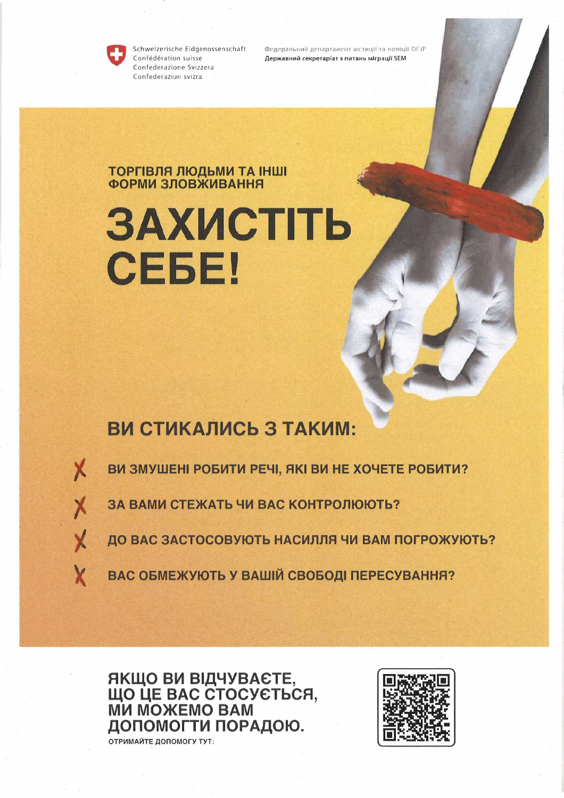

Schweizerische Eidgenossenschaft Confédération suisse Confederazione Svizzera Confederaziun svizra

Федеральний департамент юстиції та поліції DFJP Державний секретаріат з питань міграції SEM

## **ТОРГІВЛЯ ЛЮДЬМИ ТА ІНШІ**<br>ФОРМИ ЗЛОВЖИВАННЯ

# ЗАХИСТІТЬ СЕБЕ!

### ВИ СТИКАЛИСЬ З ТАКИМ:

X

ВИ ЗМУШЕНІ РОБИТИ РЕЧІ, ЯКІ ВИ НЕ ХОЧЕТЕ РОБИТИ?

ЗА ВАМИ СТЕЖАТЬ ЧИ ВАС КОНТРОЛЮЮТЬ?

ДО ВАС ЗАСТОСОВУЮТЬ НАСИЛЛЯ ЧИ ВАМ ПОГРОЖУЮТЬ?

ВАС ОБМЕЖУЮТЬ У ВАШІЙ СВОБОДІ ПЕРЕСУВАННЯ?

ЯКЩО ВИ ВІДЧУВАЄТЕ,<br>ЩО ЦЕ ВАС СТОСУЄТЬСЯ,<br>МИ МОЖЕМО ВАМ ДОПОМОГТИ ПОРАДОЮ. ОТРИМАЙТЕ ДОПОМОГУ ТУТ: